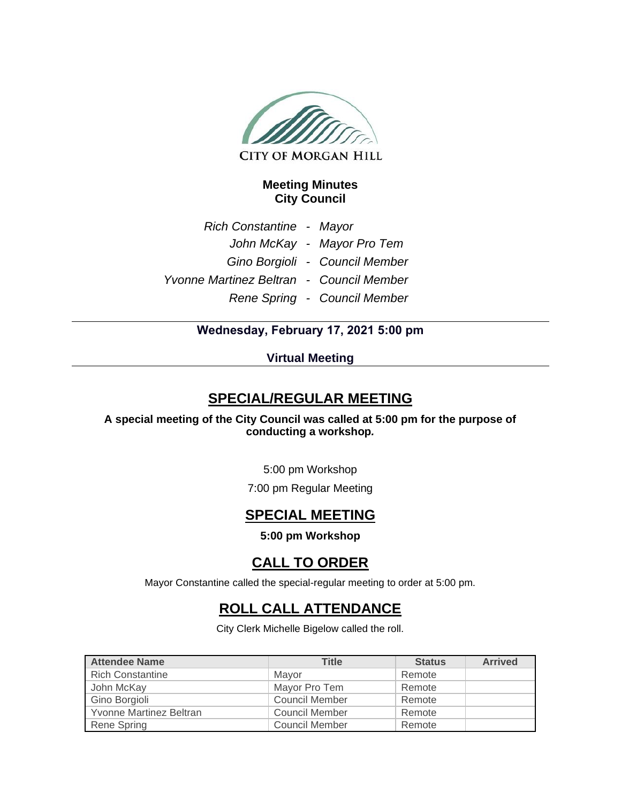

### **Meeting Minutes City Council**

*Rich Constantine - Mayor John McKay - Mayor Pro Tem Gino Borgioli - Council Member Yvonne Martinez Beltran - Council Member Rene Spring - Council Member*

### **Wednesday, February 17, 2021 5:00 pm**

### **Virtual Meeting**

### **SPECIAL/REGULAR MEETING**

**A special meeting of the City Council was called at 5:00 pm for the purpose of conducting a workshop***.* 

5:00 pm Workshop

7:00 pm Regular Meeting

### **SPECIAL MEETING**

**5:00 pm Workshop**

### **CALL TO ORDER**

Mayor Constantine called the special-regular meeting to order at 5:00 pm.

# **ROLL CALL ATTENDANCE**

City Clerk Michelle Bigelow called the roll.

| <b>Attendee Name</b>    | <b>Title</b>   | <b>Status</b> | <b>Arrived</b> |
|-------------------------|----------------|---------------|----------------|
| <b>Rich Constantine</b> | Mayor          | Remote        |                |
| John McKay              | Mayor Pro Tem  | Remote        |                |
| Gino Borgioli           | Council Member | Remote        |                |
| Yvonne Martinez Beltran | Council Member | Remote        |                |
| Rene Spring             | Council Member | Remote        |                |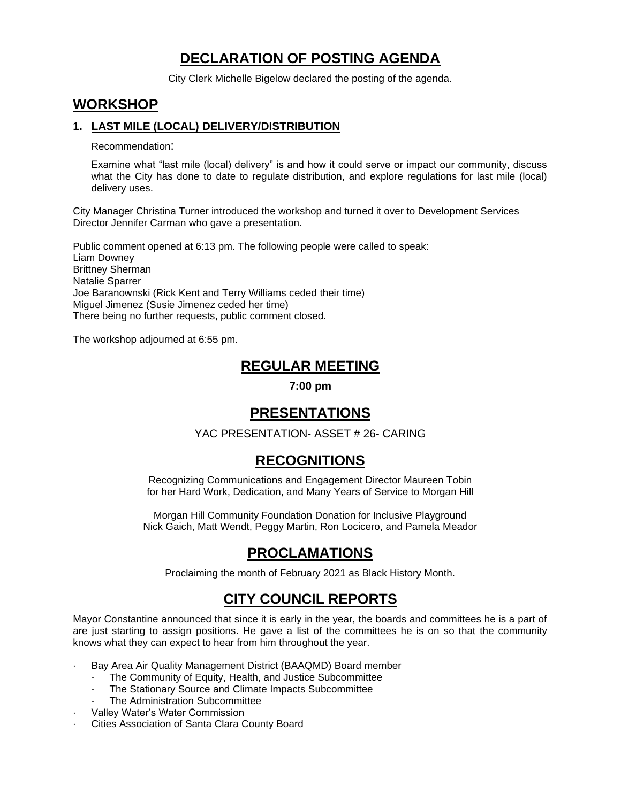# **DECLARATION OF POSTING AGENDA**

City Clerk Michelle Bigelow declared the posting of the agenda.

### **WORKSHOP**

### **1. LAST MILE (LOCAL) DELIVERY/DISTRIBUTION**

Recommendation:

Examine what "last mile (local) delivery" is and how it could serve or impact our community, discuss what the City has done to date to regulate distribution, and explore regulations for last mile (local) delivery uses.

City Manager Christina Turner introduced the workshop and turned it over to Development Services Director Jennifer Carman who gave a presentation.

Public comment opened at 6:13 pm. The following people were called to speak: Liam Downey Brittney Sherman Natalie Sparrer Joe Baranownski (Rick Kent and Terry Williams ceded their time) Miguel Jimenez (Susie Jimenez ceded her time) There being no further requests, public comment closed.

The workshop adjourned at 6:55 pm.

### **REGULAR MEETING**

**7:00 pm**

## **PRESENTATIONS**

### YAC PRESENTATION- ASSET # 26- CARING

## **RECOGNITIONS**

Recognizing Communications and Engagement Director Maureen Tobin for her Hard Work, Dedication, and Many Years of Service to Morgan Hill

Morgan Hill Community Foundation Donation for Inclusive Playground Nick Gaich, Matt Wendt, Peggy Martin, Ron Locicero, and Pamela Meador

## **PROCLAMATIONS**

Proclaiming the month of February 2021 as Black History Month.

## **CITY COUNCIL REPORTS**

Mayor Constantine announced that since it is early in the year, the boards and committees he is a part of are just starting to assign positions. He gave a list of the committees he is on so that the community knows what they can expect to hear from him throughout the year.

- Bay Area Air Quality Management District (BAAQMD) Board member
	- The Community of Equity, Health, and Justice Subcommittee
	- The Stationary Source and Climate Impacts Subcommittee
	- The Administration Subcommittee
- Valley Water's Water Commission
- Cities Association of Santa Clara County Board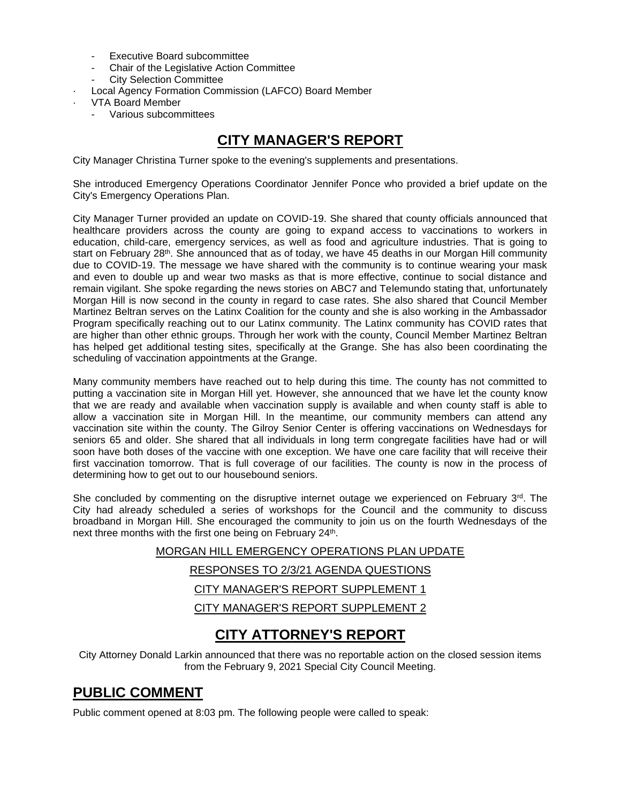- Executive Board subcommittee
- Chair of the Legislative Action Committee
- City Selection Committee
- Local Agency Formation Commission (LAFCO) Board Member
- · VTA Board Member
	- Various subcommittees

# **CITY MANAGER'S REPORT**

City Manager Christina Turner spoke to the evening's supplements and presentations.

She introduced Emergency Operations Coordinator Jennifer Ponce who provided a brief update on the City's Emergency Operations Plan.

City Manager Turner provided an update on COVID-19. She shared that county officials announced that healthcare providers across the county are going to expand access to vaccinations to workers in education, child-care, emergency services, as well as food and agriculture industries. That is going to start on February 28<sup>th</sup>. She announced that as of today, we have 45 deaths in our Morgan Hill community due to COVID-19. The message we have shared with the community is to continue wearing your mask and even to double up and wear two masks as that is more effective, continue to social distance and remain vigilant. She spoke regarding the news stories on ABC7 and Telemundo stating that, unfortunately Morgan Hill is now second in the county in regard to case rates. She also shared that Council Member Martinez Beltran serves on the Latinx Coalition for the county and she is also working in the Ambassador Program specifically reaching out to our Latinx community. The Latinx community has COVID rates that are higher than other ethnic groups. Through her work with the county, Council Member Martinez Beltran has helped get additional testing sites, specifically at the Grange. She has also been coordinating the scheduling of vaccination appointments at the Grange.

Many community members have reached out to help during this time. The county has not committed to putting a vaccination site in Morgan Hill yet. However, she announced that we have let the county know that we are ready and available when vaccination supply is available and when county staff is able to allow a vaccination site in Morgan Hill. In the meantime, our community members can attend any vaccination site within the county. The Gilroy Senior Center is offering vaccinations on Wednesdays for seniors 65 and older. She shared that all individuals in long term congregate facilities have had or will soon have both doses of the vaccine with one exception. We have one care facility that will receive their first vaccination tomorrow. That is full coverage of our facilities. The county is now in the process of determining how to get out to our housebound seniors.

She concluded by commenting on the disruptive internet outage we experienced on February  $3<sup>rd</sup>$ . The City had already scheduled a series of workshops for the Council and the community to discuss broadband in Morgan Hill. She encouraged the community to join us on the fourth Wednesdays of the next three months with the first one being on February 24<sup>th</sup>.

> MORGAN HILL EMERGENCY OPERATIONS PLAN UPDATE RESPONSES TO 2/3/21 AGENDA QUESTIONS CITY MANAGER'S REPORT SUPPLEMENT 1 CITY MANAGER'S REPORT SUPPLEMENT 2

## **CITY ATTORNEY'S REPORT**

City Attorney Donald Larkin announced that there was no reportable action on the closed session items from the February 9, 2021 Special City Council Meeting.

## **PUBLIC COMMENT**

Public comment opened at 8:03 pm. The following people were called to speak: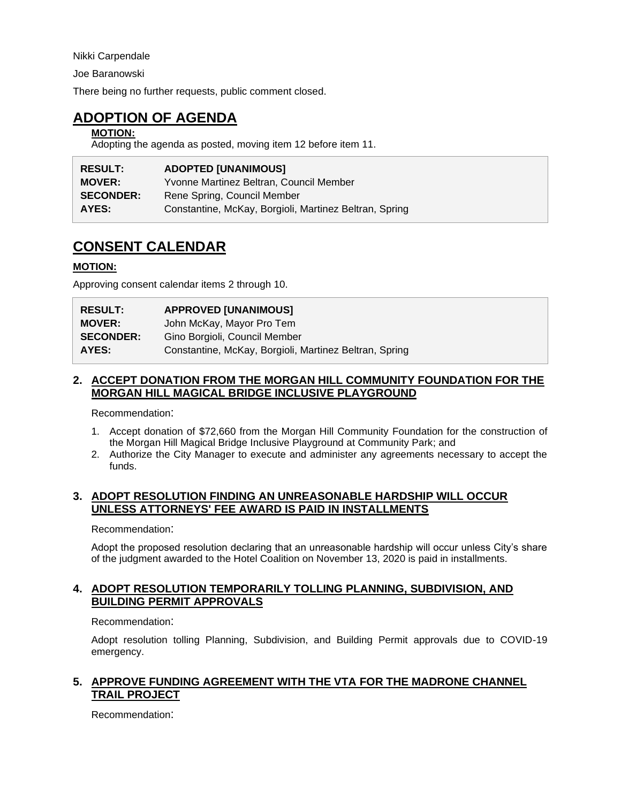Nikki Carpendale

Joe Baranowski

There being no further requests, public comment closed.

### **ADOPTION OF AGENDA**

#### **MOTION:**

Adopting the agenda as posted, moving item 12 before item 11.

| <b>RESULT:</b>   | <b>ADOPTED [UNANIMOUS]</b>                             |
|------------------|--------------------------------------------------------|
| <b>MOVER:</b>    | Yvonne Martinez Beltran, Council Member                |
| <b>SECONDER:</b> | Rene Spring, Council Member                            |
| AYES:            | Constantine, McKay, Borgioli, Martinez Beltran, Spring |

## **CONSENT CALENDAR**

#### **MOTION:**

Approving consent calendar items 2 through 10.

| <b>RESULT:</b>   | <b>APPROVED [UNANIMOUS]</b>                            |
|------------------|--------------------------------------------------------|
| <b>MOVER:</b>    | John McKay, Mayor Pro Tem                              |
| <b>SECONDER:</b> | Gino Borgioli, Council Member                          |
| AYES:            | Constantine, McKay, Borgioli, Martinez Beltran, Spring |

#### **2. ACCEPT DONATION FROM THE MORGAN HILL COMMUNITY FOUNDATION FOR THE MORGAN HILL MAGICAL BRIDGE INCLUSIVE PLAYGROUND**

Recommendation:

- 1. Accept donation of \$72,660 from the Morgan Hill Community Foundation for the construction of the Morgan Hill Magical Bridge Inclusive Playground at Community Park; and
- 2. Authorize the City Manager to execute and administer any agreements necessary to accept the funds.

### **3. ADOPT RESOLUTION FINDING AN UNREASONABLE HARDSHIP WILL OCCUR UNLESS ATTORNEYS' FEE AWARD IS PAID IN INSTALLMENTS**

Recommendation:

Adopt the proposed resolution declaring that an unreasonable hardship will occur unless City's share of the judgment awarded to the Hotel Coalition on November 13, 2020 is paid in installments.

### **4. ADOPT RESOLUTION TEMPORARILY TOLLING PLANNING, SUBDIVISION, AND BUILDING PERMIT APPROVALS**

#### Recommendation:

Adopt resolution tolling Planning, Subdivision, and Building Permit approvals due to COVID-19 emergency.

### **5. APPROVE FUNDING AGREEMENT WITH THE VTA FOR THE MADRONE CHANNEL TRAIL PROJECT**

Recommendation: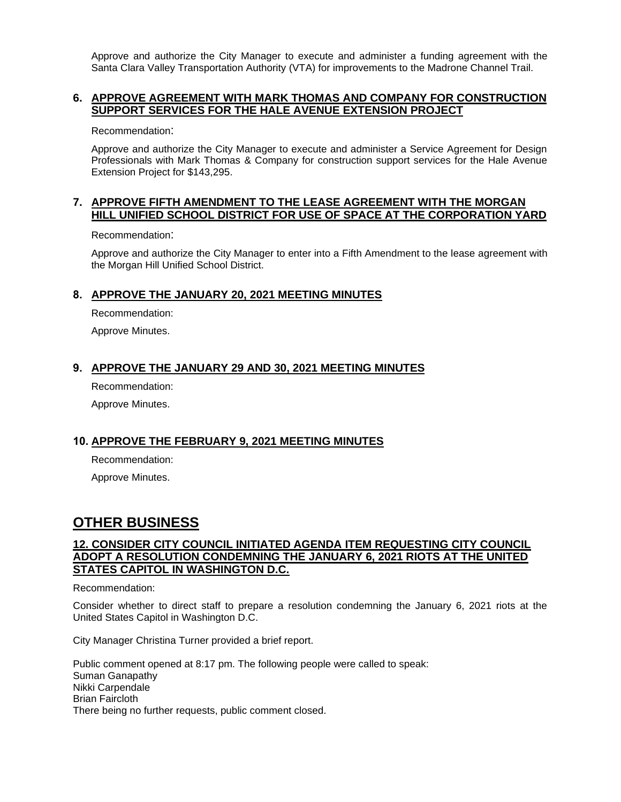Approve and authorize the City Manager to execute and administer a funding agreement with the Santa Clara Valley Transportation Authority (VTA) for improvements to the Madrone Channel Trail.

#### **6. APPROVE AGREEMENT WITH MARK THOMAS AND COMPANY FOR CONSTRUCTION SUPPORT SERVICES FOR THE HALE AVENUE EXTENSION PROJECT**

Recommendation:

Approve and authorize the City Manager to execute and administer a Service Agreement for Design Professionals with Mark Thomas & Company for construction support services for the Hale Avenue Extension Project for \$143,295.

#### **7. APPROVE FIFTH AMENDMENT TO THE LEASE AGREEMENT WITH THE MORGAN HILL UNIFIED SCHOOL DISTRICT FOR USE OF SPACE AT THE CORPORATION YARD**

Recommendation:

Approve and authorize the City Manager to enter into a Fifth Amendment to the lease agreement with the Morgan Hill Unified School District.

### **8. APPROVE THE JANUARY 20, 2021 MEETING MINUTES**

Recommendation:

Approve Minutes.

#### **9. APPROVE THE JANUARY 29 AND 30, 2021 MEETING MINUTES**

Recommendation:

Approve Minutes.

#### **10. APPROVE THE FEBRUARY 9, 2021 MEETING MINUTES**

Recommendation:

Approve Minutes.

## **OTHER BUSINESS**

#### **12. CONSIDER CITY COUNCIL INITIATED AGENDA ITEM REQUESTING CITY COUNCIL ADOPT A RESOLUTION CONDEMNING THE JANUARY 6, 2021 RIOTS AT THE UNITED STATES CAPITOL IN WASHINGTON D.C.**

Recommendation:

Consider whether to direct staff to prepare a resolution condemning the January 6, 2021 riots at the United States Capitol in Washington D.C.

City Manager Christina Turner provided a brief report.

Public comment opened at 8:17 pm. The following people were called to speak: Suman Ganapathy Nikki Carpendale Brian Faircloth There being no further requests, public comment closed.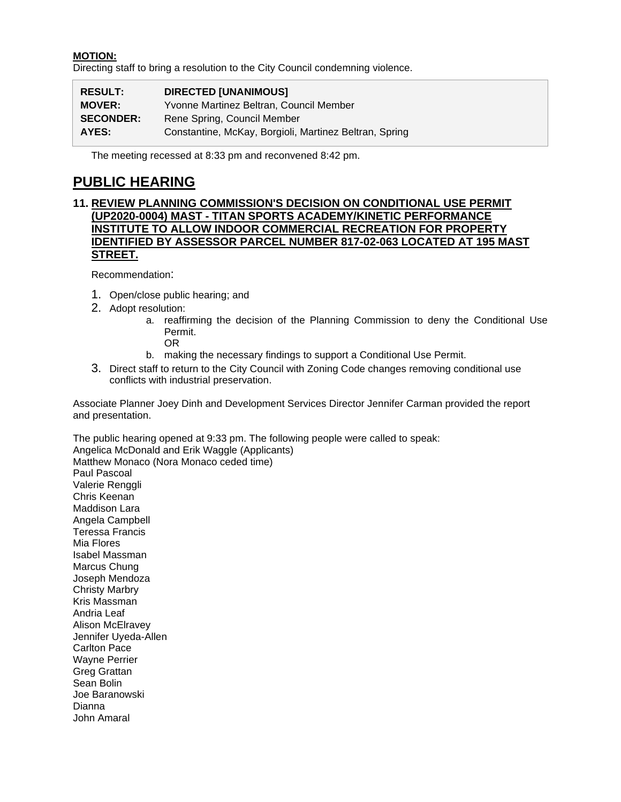#### **MOTION:**

Directing staff to bring a resolution to the City Council condemning violence.

| <b>RESULT:</b>   | <b>DIRECTED [UNANIMOUS]</b>                            |
|------------------|--------------------------------------------------------|
| <b>MOVER:</b>    | Yvonne Martinez Beltran, Council Member                |
| <b>SECONDER:</b> | Rene Spring, Council Member                            |
| AYES:            | Constantine, McKay, Borgioli, Martinez Beltran, Spring |

The meeting recessed at 8:33 pm and reconvened 8:42 pm.

### **PUBLIC HEARING**

### **11. REVIEW PLANNING COMMISSION'S DECISION ON CONDITIONAL USE PERMIT (UP2020-0004) MAST - TITAN SPORTS ACADEMY/KINETIC PERFORMANCE INSTITUTE TO ALLOW INDOOR COMMERCIAL RECREATION FOR PROPERTY IDENTIFIED BY ASSESSOR PARCEL NUMBER 817-02-063 LOCATED AT 195 MAST STREET.**

Recommendation:

John Amaral

- 1. Open/close public hearing; and
- 2. Adopt resolution:
	- a. reaffirming the decision of the Planning Commission to deny the Conditional Use Permit.
		- OR
	- b. making the necessary findings to support a Conditional Use Permit.
- 3. Direct staff to return to the City Council with Zoning Code changes removing conditional use conflicts with industrial preservation.

Associate Planner Joey Dinh and Development Services Director Jennifer Carman provided the report and presentation.

The public hearing opened at 9:33 pm. The following people were called to speak: Angelica McDonald and Erik Waggle (Applicants) Matthew Monaco (Nora Monaco ceded time) Paul Pascoal Valerie Renggli Chris Keenan Maddison Lara Angela Campbell Teressa Francis Mia Flores Isabel Massman Marcus Chung Joseph Mendoza Christy Marbry Kris Massman Andria Leaf Alison McElravey Jennifer Uyeda-Allen Carlton Pace Wayne Perrier Greg Grattan Sean Bolin Joe Baranowski Dianna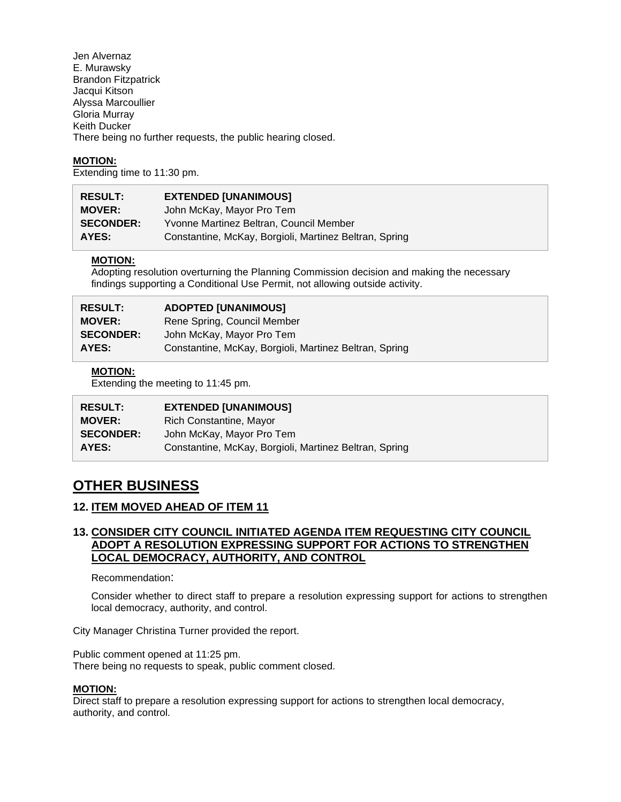Jen Alvernaz E. Murawsky Brandon Fitzpatrick Jacqui Kitson Alyssa Marcoullier Gloria Murray Keith Ducker There being no further requests, the public hearing closed.

#### **MOTION:**

Extending time to 11:30 pm.

| <b>RESULT:</b>   | <b>EXTENDED [UNANIMOUS]</b>                            |
|------------------|--------------------------------------------------------|
| <b>MOVER:</b>    | John McKay, Mayor Pro Tem                              |
| <b>SECONDER:</b> | Yvonne Martinez Beltran, Council Member                |
| AYES:            | Constantine, McKay, Borgioli, Martinez Beltran, Spring |

#### **MOTION:**

Adopting resolution overturning the Planning Commission decision and making the necessary findings supporting a Conditional Use Permit, not allowing outside activity.

| <b>RESULT:</b>   | <b>ADOPTED [UNANIMOUS]</b>                             |
|------------------|--------------------------------------------------------|
| <b>MOVER:</b>    | Rene Spring, Council Member                            |
| <b>SECONDER:</b> | John McKay, Mayor Pro Tem                              |
| AYES:            | Constantine, McKay, Borgioli, Martinez Beltran, Spring |

#### **MOTION:**

Extending the meeting to 11:45 pm.

| <b>RESULT:</b>   | <b>EXTENDED [UNANIMOUS]</b>                            |
|------------------|--------------------------------------------------------|
| <b>MOVER:</b>    | Rich Constantine, Mayor                                |
| <b>SECONDER:</b> | John McKay, Mayor Pro Tem                              |
| AYES:            | Constantine, McKay, Borgioli, Martinez Beltran, Spring |

### **OTHER BUSINESS**

### **12. ITEM MOVED AHEAD OF ITEM 11**

### **13. CONSIDER CITY COUNCIL INITIATED AGENDA ITEM REQUESTING CITY COUNCIL ADOPT A RESOLUTION EXPRESSING SUPPORT FOR ACTIONS TO STRENGTHEN LOCAL DEMOCRACY, AUTHORITY, AND CONTROL**

Recommendation:

Consider whether to direct staff to prepare a resolution expressing support for actions to strengthen local democracy, authority, and control.

City Manager Christina Turner provided the report.

Public comment opened at 11:25 pm. There being no requests to speak, public comment closed.

#### **MOTION:**

Direct staff to prepare a resolution expressing support for actions to strengthen local democracy, authority, and control.